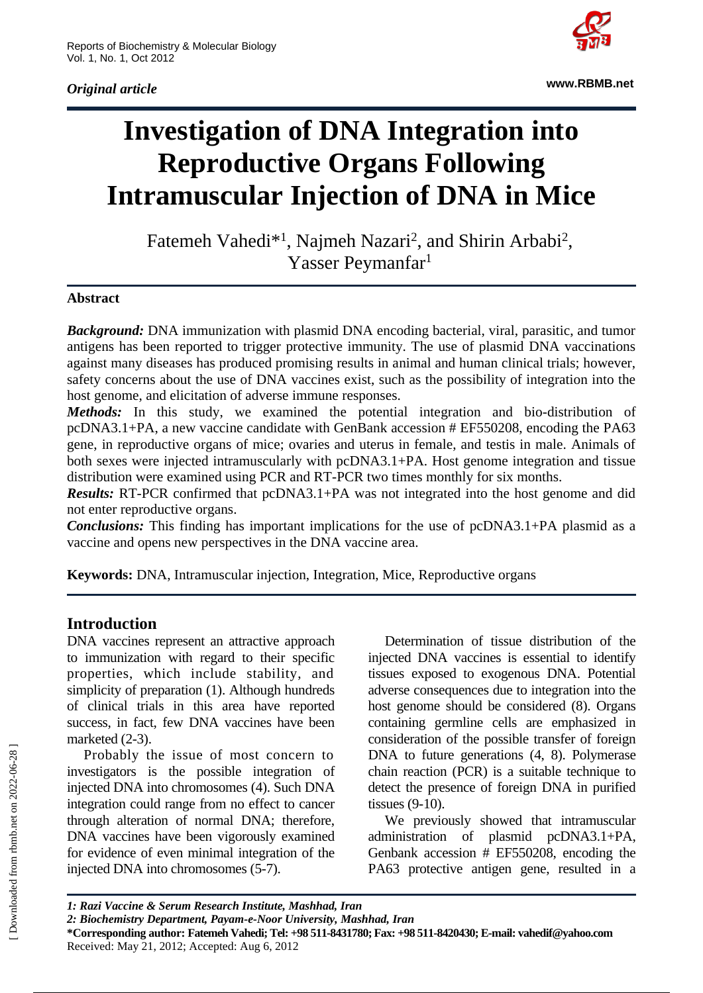*Original article*



**www.RBMB.net**

# **Investigation of DNA Integration into Reproductive Organs Following Intramuscular Injection of DNA in Mice**

Fatemeh Vahedi<sup>\*1</sup>, Najmeh Nazari<sup>2</sup>, and Shirin Arbabi<sup>2</sup>, Yasser Peymanfar<sup>1</sup>

#### **Abstract**

*Background:* DNA immunization with plasmid DNA encoding bacterial, viral, parasitic, and tumor antigens has been reported to trigger protective immunity. The use of plasmid DNA vaccinations against many diseases has produced promising results in animal and human clinical trials; however, safety concerns about the use of DNA vaccines exist, such as the possibility of integration into the host genome, and elicitation of adverse immune responses.

*Methods:* In this study, we examined the potential integration and bio-distribution of pcDNA3.1+PA, a new vaccine candidate with GenBank accession # EF550208, encoding the PA63 gene, in reproductive organs of mice; ovaries and uterus in female, and testis in male. Animals of both sexes were injected intramuscularly with pcDNA3.1+PA. Host genome integration and tissue distribution were examined using PCR and RT-PCR two times monthly for six months.

*Results:* RT-PCR confirmed that pcDNA3.1+PA was not integrated into the host genome and did not enter reproductive organs.

*Conclusions:* This finding has important implications for the use of pcDNA3.1+PA plasmid as a vaccine and opens new perspectives in the DNA vaccine area.

**Keywords:** DNA, Intramuscular injection, Integration, Mice, Reproductive organs

## **Introduction**

DNA vaccines represent an attractive approach to immunization with regard to their specific properties, which include stability, and simplicity of preparation (1). Although hundreds of clinical trials in this area have reported success, in fact, few DNA vaccines have been marketed (2-3).

Probably the issue of most concern to investigators is the possible integration of injected DNA into chromosomes (4). Such DNA integration could range from no effect to cancer through alteration of normal DNA; therefore, DNA vaccines have been vigorously examined for evidence of even minimal integration of the injected DNA into chromosomes (5-7).

Determination of tissue distribution of the injected DNA vaccines is essential to identify tissues exposed to exogenous DNA. Potential adverse consequences due to integration into the host genome should be considered (8). Organs containing germline cells are emphasized in consideration of the possible transfer of foreign DNA to future generations (4, 8). Polymerase chain reaction (PCR) is a suitable technique to detect the presence of foreign DNA in purified tissues (9-10).

We previously showed that intramuscular administration of plasmid pcDNA3.1+PA, Genbank accession # EF550208, encoding the PA63 protective antigen gene, resulted in a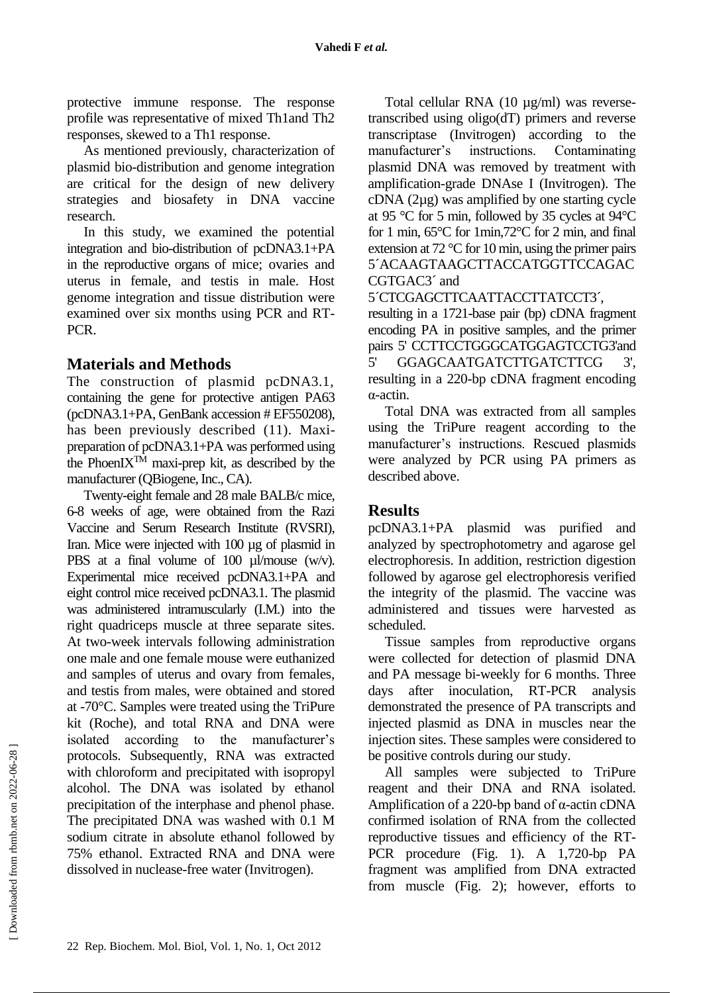protective immune response. The response profile was representative of mixed Th1and Th2 responses, skewed to a Th1 response.

As mentioned previously, characterization of plasmid bio-distribution and genome integration are critical for the design of new delivery strategies and biosafety in DNA vaccine research.

In this study, we examined the potential integration and bio-distribution of pcDNA3.1+PA in the reproductive organs of mice; ovaries and uterus in female, and testis in male. Host genome integration and tissue distribution were examined over six months using PCR and RT-PCR.

# **Materials and Methods**

The construction of plasmid pcDNA3.1, containing the gene for protective antigen PA63 (pcDNA3.1+PA, GenBank accession # EF550208), has been previously described (11). Maxipreparation of pcDNA3.1+PA was performed using the PhoenI $X^{T\hat{M}}$  maxi-prep kit, as described by the manufacturer (QBiogene, Inc., CA).

Twenty-eight female and 28 male BALB/c mice, 6-8 weeks of age, were obtained from the Razi Vaccine and Serum Research Institute (RVSRI), Iran. Mice were injected with 100 µg of plasmid in PBS at a final volume of 100  $\mu$ l/mouse (w/v). Experimental mice received pcDNA3.1+PA and eight control mice received pcDNA3.1. The plasmid was administered intramuscularly (I.M.) into the right quadriceps muscle at three separate sites. At two-week intervals following administration one male and one female mouse were euthanized and samples of uterus and ovary from females, and testis from males, were obtained and stored at -70°C. Samples were treated using the TriPure kit (Roche), and total RNA and DNA were isolated according to the manufacturer's protocols. Subsequently, RNA was extracted with chloroform and precipitated with isopropyl alcohol. The DNA was isolated by ethanol precipitation of the interphase and phenol phase. The precipitated DNA was washed with 0.1 M sodium citrate in absolute ethanol followed by 75% ethanol. Extracted RNA and DNA were dissolved in nuclease-free water (Invitrogen).

Total cellular RNA (10 µg/ml) was reversetranscribed using oligo(dT) primers and reverse transcriptase (Invitrogen) according to the manufacturer's instructions. Contaminating plasmid DNA was removed by treatment with amplification-grade DNAse I (Invitrogen). The cDNA (2µg) was amplified by one starting cycle at 95 °C for 5 min, followed by 35 cycles at 94°C for 1 min, 65°C for 1min,72°C for 2 min, and final extension at 72 °C for 10 min, using the primer pairs 5´ACAAGTAAGCTTACCATGGTTCCAGAC CGTGAC3´ and

5´CTCGAGCTTCAATTACCTTATCCT3´,

resulting in a 1721-base pair (bp) cDNA fragment encoding PA in positive samples, and the primer pairs 5' CCTTCCTGGGCATGGAGTCCTG3'and 5' GGAGCAATGATCTTGATCTTCG 3', resulting in a 220-bp cDNA fragment encoding α-actin.

Total DNA was extracted from all samples using the TriPure reagent according to the manufacturer's instructions. Rescued plasmids were analyzed by PCR using PA primers as described above.

## **Results**

pcDNA3.1+PA plasmid was purified and analyzed by spectrophotometry and agarose gel electrophoresis. In addition, restriction digestion followed by agarose gel electrophoresis verified the integrity of the plasmid. The vaccine was administered and tissues were harvested as scheduled.

Tissue samples from reproductive organs were collected for detection of plasmid DNA and PA message bi-weekly for 6 months. Three days after inoculation, RT-PCR analysis demonstrated the presence of PA transcripts and injected plasmid as DNA in muscles near the injection sites. These samples were considered to be positive controls during our study.

All samples were subjected to TriPure reagent and their DNA and RNA isolated. Amplification of a 220-bp band of α-actin cDNA confirmed isolation of RNA from the collected reproductive tissues and efficiency of the RT-PCR procedure (Fig. 1). A 1,720-bp PA fragment was amplified from DNA extracted from muscle (Fig. 2); however, efforts to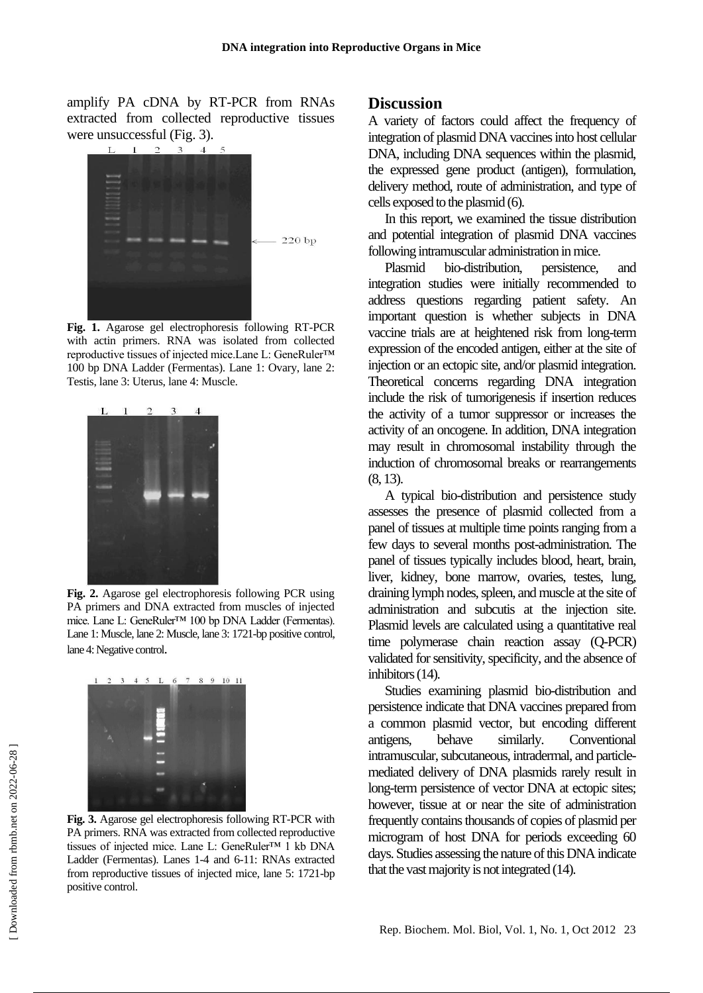amplify PA cDNA by RT-PCR from RNAs extracted from collected reproductive tissues were unsuccessful (Fig. 3).



**Fig. 1.** Agarose gel electrophoresis following RT-PCR with actin primers. RNA was isolated from collected reproductive tissues of injected mice.Lane L: GeneRuler™ 100 bp DNA Ladder (Fermentas). Lane 1: Ovary, lane 2: Testis, lane 3: Uterus, lane 4: Muscle.



**Fig. 2.** Agarose gel electrophoresis following PCR using PA primers and DNA extracted from muscles of injected mice. Lane L: GeneRuler™ 100 bp DNA Ladder (Fermentas). Lane 1: Muscle, lane 2: Muscle, lane 3: 1721-bp positive control, lane 4: Negative control.



**Fig. 3.** Agarose gel electrophoresis following RT-PCR with PA primers. RNA was extracted from collected reproductive tissues of injected mice. Lane L: GeneRuler™ 1 kb DNA Ladder (Fermentas). Lanes 1-4 and 6-11: RNAs extracted from reproductive tissues of injected mice, lane 5: 1721-bp positive control.

#### **Discussion**

A variety of factors could affect the frequency of integration of plasmid DNA vaccines into host cellular DNA, including DNA sequences within the plasmid, the expressed gene product (antigen), formulation, delivery method, route of administration, and type of cells exposed to the plasmid (6).

In this report, we examined the tissue distribution and potential integration of plasmid DNA vaccines following intramuscular administration in mice.

Plasmid bio-distribution, persistence, and integration studies were initially recommended to address questions regarding patient safety. An important question is whether subjects in DNA vaccine trials are at heightened risk from long-term expression of the encoded antigen, either at the site of injection or an ectopic site, and/or plasmid integration. Theoretical concerns regarding DNA integration include the risk of tumorigenesis if insertion reduces the activity of a tumor suppressor or increases the activity of an oncogene. In addition, DNA integration may result in chromosomal instability through the induction of chromosomal breaks or rearrangements (8, 13).

A typical bio-distribution and persistence study assesses the presence of plasmid collected from a panel of tissues at multiple time points ranging from a few days to several months post-administration. The panel of tissues typically includes blood, heart, brain, liver, kidney, bone marrow, ovaries, testes, lung, draining lymph nodes, spleen, and muscle at the site of administration and subcutis at the injection site. Plasmid levels are calculated using a quantitative real time polymerase chain reaction assay (Q-PCR) validated for sensitivity, specificity, and the absence of inhibitors (14).

Studies examining plasmid bio-distribution and persistence indicate that DNA vaccines prepared from a common plasmid vector, but encoding different antigens, behave similarly. Conventional intramuscular, subcutaneous, intradermal, and particlemediated delivery of DNA plasmids rarely result in long-term persistence of vector DNA at ectopic sites; however, tissue at or near the site of administration frequently contains thousands of copies of plasmid per microgram of host DNA for periods exceeding 60 days. Studies assessing the nature of this DNA indicate that the vast majority is not integrated (14).